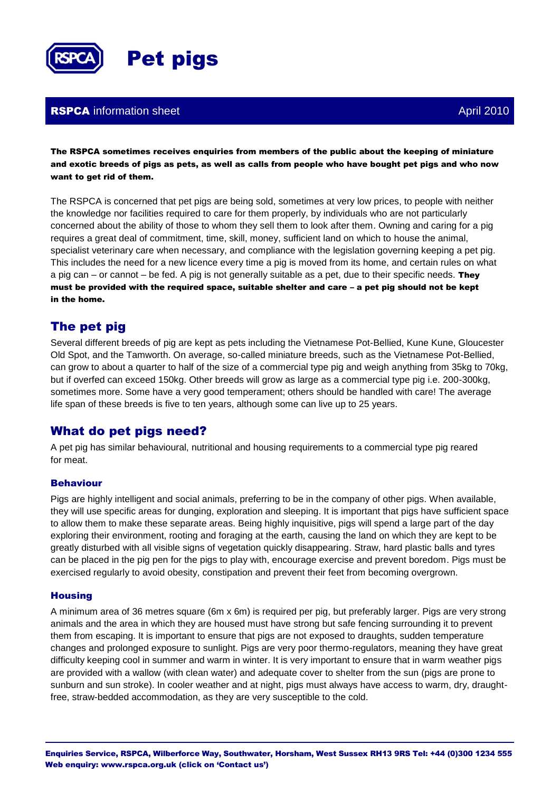

### **RSPCA** information sheet April 2010

The RSPCA sometimes receives enquiries from members of the public about the keeping of miniature and exotic breeds of pigs as pets, as well as calls from people who have bought pet pigs and who now want to get rid of them.

The RSPCA is concerned that pet pigs are being sold, sometimes at very low prices, to people with neither the knowledge nor facilities required to care for them properly, by individuals who are not particularly concerned about the ability of those to whom they sell them to look after them. Owning and caring for a pig requires a great deal of commitment, time, skill, money, sufficient land on which to house the animal, specialist veterinary care when necessary, and compliance with the legislation governing keeping a pet pig. This includes the need for a new licence every time a pig is moved from its home, and certain rules on what a pig can – or cannot – be fed. A pig is not generally suitable as a pet, due to their specific needs. They must be provided with the required space, suitable shelter and care – a pet pig should not be kept in the home.

# The pet pig

Several different breeds of pig are kept as pets including the Vietnamese Pot-Bellied, Kune Kune, Gloucester Old Spot, and the Tamworth. On average, so-called miniature breeds, such as the Vietnamese Pot-Bellied, can grow to about a quarter to half of the size of a commercial type pig and weigh anything from 35kg to 70kg, but if overfed can exceed 150kg. Other breeds will grow as large as a commercial type pig i.e. 200-300kg, sometimes more. Some have a very good temperament; others should be handled with care! The average life span of these breeds is five to ten years, although some can live up to 25 years.

## What do pet pigs need?

A pet pig has similar behavioural, nutritional and housing requirements to a commercial type pig reared for meat.

### Behaviour

Pigs are highly intelligent and social animals, preferring to be in the company of other pigs. When available, they will use specific areas for dunging, exploration and sleeping. It is important that pigs have sufficient space to allow them to make these separate areas. Being highly inquisitive, pigs will spend a large part of the day exploring their environment, rooting and foraging at the earth, causing the land on which they are kept to be greatly disturbed with all visible signs of vegetation quickly disappearing. Straw, hard plastic balls and tyres can be placed in the pig pen for the pigs to play with, encourage exercise and prevent boredom. Pigs must be exercised regularly to avoid obesity, constipation and prevent their feet from becoming overgrown.

### **Housing**

A minimum area of 36 metres square (6m x 6m) is required per pig, but preferably larger. Pigs are very strong animals and the area in which they are housed must have strong but safe fencing surrounding it to prevent them from escaping. It is important to ensure that pigs are not exposed to draughts, sudden temperature changes and prolonged exposure to sunlight. Pigs are very poor thermo-regulators, meaning they have great difficulty keeping cool in summer and warm in winter. It is very important to ensure that in warm weather pigs are provided with a wallow (with clean water) and adequate cover to shelter from the sun (pigs are prone to sunburn and sun stroke). In cooler weather and at night, pigs must always have access to warm, dry, draughtfree, straw-bedded accommodation, as they are very susceptible to the cold.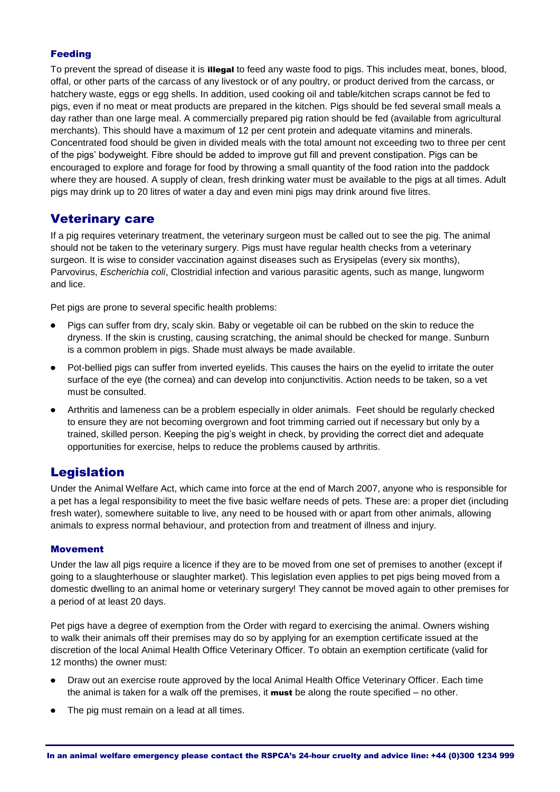### Feeding

To prevent the spread of disease it is **illegal** to feed any waste food to pigs. This includes meat, bones, blood, offal, or other parts of the carcass of any livestock or of any poultry, or product derived from the carcass, or hatchery waste, eggs or egg shells. In addition, used cooking oil and table/kitchen scraps cannot be fed to pigs, even if no meat or meat products are prepared in the kitchen. Pigs should be fed several small meals a day rather than one large meal. A commercially prepared pig ration should be fed (available from agricultural merchants). This should have a maximum of 12 per cent protein and adequate vitamins and minerals. Concentrated food should be given in divided meals with the total amount not exceeding two to three per cent of the pigs' bodyweight. Fibre should be added to improve gut fill and prevent constipation. Pigs can be encouraged to explore and forage for food by throwing a small quantity of the food ration into the paddock where they are housed. A supply of clean, fresh drinking water must be available to the pigs at all times. Adult pigs may drink up to 20 litres of water a day and even mini pigs may drink around five litres.

### Veterinary care

If a pig requires veterinary treatment, the veterinary surgeon must be called out to see the pig. The animal should not be taken to the veterinary surgery. Pigs must have regular health checks from a veterinary surgeon. It is wise to consider vaccination against diseases such as Erysipelas (every six months), Parvovirus, *Escherichia coli*, Clostridial infection and various parasitic agents, such as mange, lungworm and lice.

Pet pigs are prone to several specific health problems:

- Pigs can suffer from dry, scaly skin. Baby or vegetable oil can be rubbed on the skin to reduce the dryness. If the skin is crusting, causing scratching, the animal should be checked for mange. Sunburn is a common problem in pigs. Shade must always be made available.
- Pot-bellied pigs can suffer from inverted eyelids. This causes the hairs on the eyelid to irritate the outer surface of the eye (the cornea) and can develop into conjunctivitis. Action needs to be taken, so a vet must be consulted.
- Arthritis and lameness can be a problem especially in older animals. Feet should be regularly checked to ensure they are not becoming overgrown and foot trimming carried out if necessary but only by a trained, skilled person. Keeping the pig's weight in check, by providing the correct diet and adequate opportunities for exercise, helps to reduce the problems caused by arthritis.

## Legislation

Under the Animal Welfare Act, which came into force at the end of March 2007, anyone who is responsible for a pet has a legal responsibility to meet the five basic welfare needs of pets. These are: a proper diet (including fresh water), somewhere suitable to live, any need to be housed with or apart from other animals, allowing animals to express normal behaviour, and protection from and treatment of illness and injury.

### Movement

Under the law all pigs require a licence if they are to be moved from one set of premises to another (except if going to a slaughterhouse or slaughter market). This legislation even applies to pet pigs being moved from a domestic dwelling to an animal home or veterinary surgery! They cannot be moved again to other premises for a period of at least 20 days.

Pet pigs have a degree of exemption from the Order with regard to exercising the animal. Owners wishing to walk their animals off their premises may do so by applying for an exemption certificate issued at the discretion of the local Animal Health Office Veterinary Officer. To obtain an exemption certificate (valid for 12 months) the owner must:

- Draw out an exercise route approved by the local Animal Health Office Veterinary Officer. Each time  $\bullet$ the animal is taken for a walk off the premises, it **must** be along the route specified – no other.
- The pig must remain on a lead at all times.